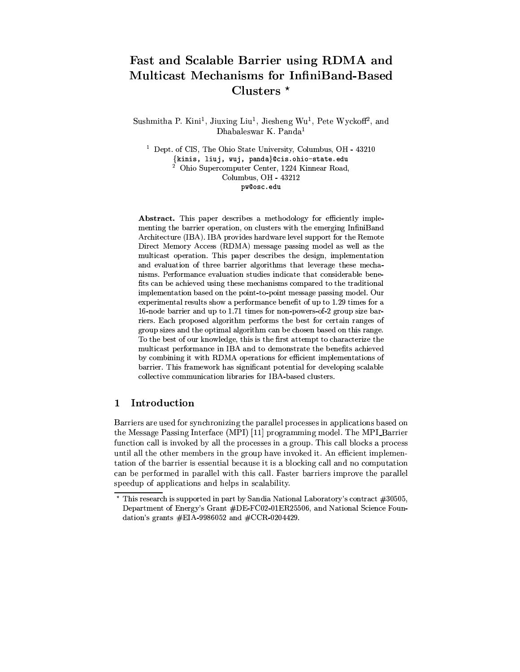# Fast and Scalable Barrier using RDMA and Multicast Mechanisms for InfiniBand-Based Clusters  $*$

Sushmitha P. Kini<sup>1</sup>, Jiuxing Liu<sup>1</sup>, Jiesheng Wu<sup>1</sup>, Pete Wyckoff<sup>2</sup>, and Dhabaleswar K. Panda<sup>1</sup>

<sup>1</sup> Dept. of CIS, The Ohio State University, Columbus, OH - 43210  ${k}$ inis, liuj, wuj, panda}@cis.ohio-state.edu Ohio Supercomputer Center, 1224 Kinnear Road, Columbus, OH - 43212 pw@osc.edu

Abstract. This paper describes a methodology for efficiently implementing the barrier operation, on clusters with the emerging InfiniBand Architecture (IBA). IBA provides hardware level support for the Remote Direct Memory Access (RDMA) message passing model as well as the multicast operation. This paper describes the design, implementation and evaluation of three barrier algorithms that leverage these mechanisms. Performance evaluation studies indicate that considerable benefits can be achieved using these mechanisms compared to the traditional implementation based on the point-to-point message passing model. Our experimental results show a performance benefit of up to 1.29 times for a 16-node barrier and up to 1.71 times for non-powers-of-2 group size barriers. Each proposed algorithm performs the best for certain ranges of group sizes and the optimal algorithm can be chosen based on this range. To the best of our knowledge, this is the first attempt to characterize the multicast performance in IBA and to demonstrate the benefits achieved by combining it with RDMA operations for efficient implementations of barrier. This framework has significant potential for developing scalable collective communication libraries for IBA-based clusters.

#### Introduction  $\mathbf{1}$

Barriers are used for synchronizing the parallel processes in applications based on the Message Passing Interface (MPI) [11] programming model. The MPI\_Barrier function call is invoked by all the processes in a group. This call blocks a process until all the other members in the group have invoked it. An efficient implementation of the barrier is essential because it is a blocking call and no computation can be performed in parallel with this call. Faster barriers improve the parallel speedup of applications and helps in scalability.

 $*$  This research is supported in part by Sandia National Laboratory's contract #30505, Department of Energy's Grant #DE-FC02-01ER25506, and National Science Foundation's grants  $\#\text{EIA-9986052}$  and  $\#\text{CCR-0204429}$ .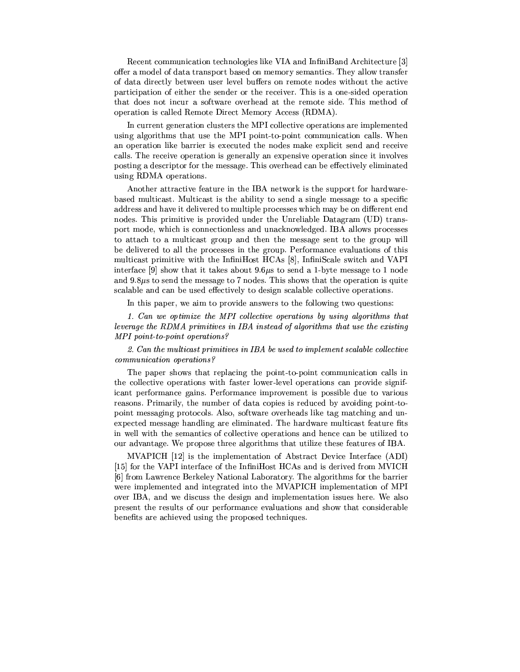Recent communication technologies like VIA and InfiniBand Architecture [3] offer a model of data transport based on memory semantics. They allow transfer of data directly between user level buffers on remote nodes without the active participation of either the sender or the receiver. This is a one-sided operation that does not incur a software overhead at the remote side. This method of operation is called Remote Direct Memory Access (RDMA).

In current generation clusters the MPI collective operations are implemented using algorithms that use the MPI point-to-point communication calls. When an operation like barrier is executed the nodes make explicit send and receive calls. The receive operation is generally an expensive operation since it involves posting a descriptor for the message. This overhead can be effectively eliminated using RDMA operations.

Another attractive feature in the IBA network is the support for hardwarebased multicast. Multicast is the ability to send a single message to a specific address and have it delivered to multiple processes which may be on different end nodes. This primitive is provided under the Unreliable Datagram (UD) transport mode, which is connectionless and unacknowledged. IBA allows processes to attach to a multicast group and then the message sent to the group will be delivered to all the processes in the group. Performance evaluations of this multicast primitive with the InfiniHost HCAs [8], InfiniScale switch and VAPI interface [9] show that it takes about  $9.6\mu s$  to send a 1-byte message to 1 node and  $9.8\mu s$  to send the message to 7 nodes. This shows that the operation is quite scalable and can be used effectively to design scalable collective operations.

In this paper, we aim to provide answers to the following two questions:

1. Can we optimize the MPI collective operations by using algorithms that leverage the RDMA primitives in IBA instead of algorithms that use the existing MPI point-to-point operations?

2. Can the multicast primitives in IBA be used to implement scalable collective *communication operations?* 

The paper shows that replacing the point-to-point communication calls in the collective operations with faster lower-level operations can provide significant performance gains. Performance improvement is possible due to various reasons. Primarily, the number of data copies is reduced by avoiding point-topoint messaging protocols. Also, software overheads like tag matching and unexpected message handling are eliminated. The hardware multicast feature fits in well with the semantics of collective operations and hence can be utilized to our advantage. We propose three algorithms that utilize these features of IBA.

MVAPICH [12] is the implementation of Abstract Device Interface (ADI) [15] for the VAPI interface of the InfiniHost HCAs and is derived from MVICH [6] from Lawrence Berkeley National Laboratory. The algorithms for the barrier were implemented and integrated into the MVAPICH implementation of MPI over IBA, and we discuss the design and implementation issues here. We also present the results of our performance evaluations and show that considerable benefits are achieved using the proposed techniques.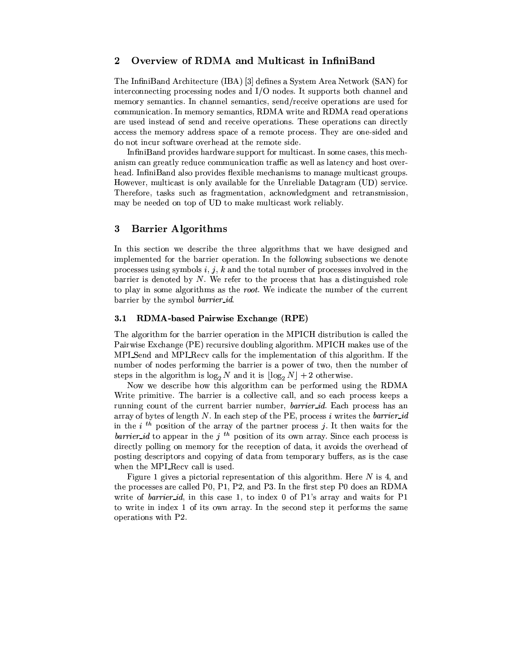#### $\boldsymbol{2}$ Overview of RDMA and Multicast in InfiniBand

The InfiniBand Architecture (IBA) [3] defines a System Area Network (SAN) for interconnecting processing nodes and I/O nodes. It supports both channel and memory semantics. In channel semantics, send/receive operations are used for communication. In memory semantics, RDMA write and RDMA read operations are used instead of send and receive operations. These operations can directly access the memory address space of a remote process. They are one-sided and do not incur software overhead at the remote side.

InfiniBand provides hardware support for multicast. In some cases, this mechanism can greatly reduce communication traffic as well as latency and host overhead. InfiniBand also provides flexible mechanisms to manage multicast groups. However, multicast is only available for the Unreliable Datagram (UD) service. Therefore, tasks such as fragmentation, acknowledgment and retransmission, may be needed on top of UD to make multicast work reliably.

#### 3 **Barrier Algorithms**

In this section we describe the three algorithms that we have designed and implemented for the barrier operation. In the following subsections we denote processes using symbols  $i, j, k$  and the total number of processes involved in the barrier is denoted by  $N$ . We refer to the process that has a distinguished role to play in some algorithms as the root. We indicate the number of the current barrier by the symbol *barrier\_id*.

### 3.1 RDMA-based Pairwise Exchange (RPE)

The algorithm for the barrier operation in the MPICH distribution is called the Pairwise Exchange (PE) recursive doubling algorithm. MPICH makes use of the MPLSend and MPLRecv calls for the implementation of this algorithm. If the number of nodes performing the barrier is a power of two, then the number of steps in the algorithm is  $\log_2 N$  and it is  $\lfloor \log_2 N \rfloor + 2$  otherwise.

Now we describe how this algorithm can be performed using the RDMA Write primitive. The barrier is a collective call, and so each process keeps a running count of the current barrier number, barrier\_id. Each process has an array of bytes of length  $N$ . In each step of the PE, process i writes the barrier\_id in the  $i^{th}$  position of the array of the partner process j. It then waits for the *barrier\_id* to appear in the *j*<sup>th</sup> position of its own array. Since each process is directly polling on memory for the reception of data, it avoids the overhead of posting descriptors and copying of data from temporary buffers, as is the case when the MPI\_Recv call is used.

Figure 1 gives a pictorial representation of this algorithm. Here  $N$  is 4, and the processes are called P0, P1, P2, and P3. In the first step P0 does an RDMA write of *barrier-id*, in this case 1, to index 0 of P1's array and waits for P1 to write in index 1 of its own array. In the second step it performs the same operations with P2.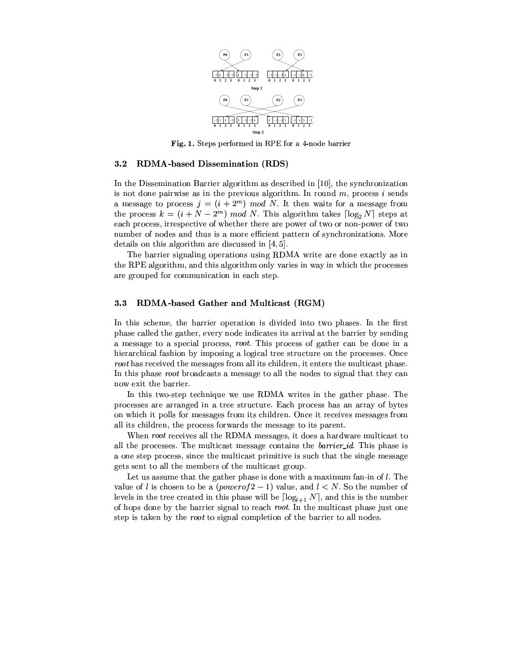

Fig. 1. Steps performed in RPE for a 4-node barrier

#### $3.2$ **RDMA-based Dissemination (RDS)**

In the Dissemination Barrier algorithm as described in [10], the synchronization is not done pairwise as in the previous algorithm. In round  $m$ , process i sends a message to process  $j = (i + 2^m) \mod N$ . It then waits for a message from the process  $k = (i + N - 2<sup>m</sup>)$  mod N. This algorithm takes  $\lceil \log_2 N \rceil$  steps at each process, irrespective of whether there are power of two or non-power of two number of nodes and thus is a more efficient pattern of synchronizations. More details on this algorithm are discussed in  $[4, 5]$ .

The barrier signaling operations using RDMA write are done exactly as in the RPE algorithm, and this algorithm only varies in way in which the processes are grouped for communication in each step.

#### RDMA-based Gather and Multicast (RGM) 3.3

In this scheme, the barrier operation is divided into two phases. In the first phase called the gather, every node indicates its arrival at the barrier by sending a message to a special process, root. This process of gather can be done in a hierarchical fashion by imposing a logical tree structure on the processes. Once root has received the messages from all its children, it enters the multicast phase. In this phase root broadcasts a message to all the nodes to signal that they can now exit the barrier.

In this two-step technique we use RDMA writes in the gather phase. The processes are arranged in a tree structure. Each process has an array of bytes on which it polls for messages from its children. Once it receives messages from all its children, the process forwards the message to its parent.

When root receives all the RDMA messages, it does a hardware multicast to all the processes. The multicast message contains the *barrier\_id*. This phase is a one step process, since the multicast primitive is such that the single message gets sent to all the members of the multicast group.

Let us assume that the gather phase is done with a maximum fan-in of  $l$ . The value of l is chosen to be a  $(powerof2 - 1)$  value, and  $l < N$ . So the number of levels in the tree created in this phase will be  $\lceil \log_{l+1} N \rceil$ , and this is the number of hops done by the barrier signal to reach root. In the multicast phase just one step is taken by the root to signal completion of the barrier to all nodes.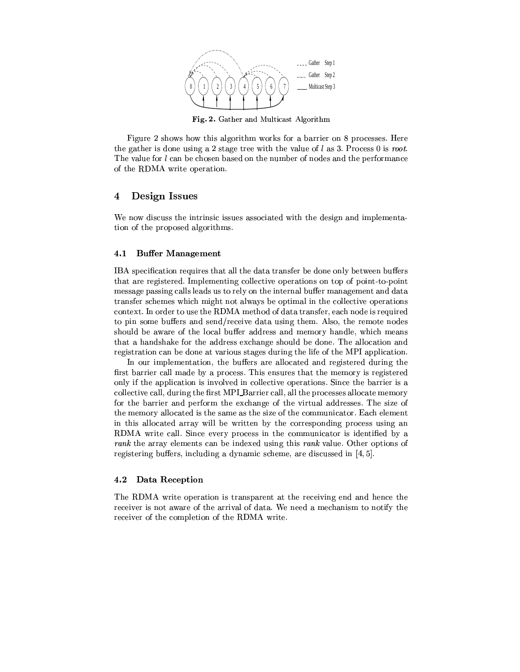

Fig. 2. Gather and Multicast Algorithm

Figure 2 shows how this algorithm works for a barrier on 8 processes. Here the gather is done using a 2 stage tree with the value of  $l$  as 3. Process 0 is root. The value for  $l$  can be chosen based on the number of nodes and the performance of the RDMA write operation.

#### **Design Issues**  $\overline{\mathbf{4}}$

We now discuss the intrinsic issues associated with the design and implementation of the proposed algorithms.

#### $4.1$ **Buffer Management**

IBA specification requires that all the data transfer be done only between buffers that are registered. Implementing collective operations on top of point-to-point message passing calls leads us to rely on the internal buffer management and data transfer schemes which might not always be optimal in the collective operations context. In order to use the RDMA method of data transfer, each node is required to pin some buffers and send/receive data using them. Also, the remote nodes should be aware of the local buffer address and memory handle, which means that a handshake for the address exchange should be done. The allocation and registration can be done at various stages during the life of the MPI application.

In our implementation, the buffers are allocated and registered during the first barrier call made by a process. This ensures that the memory is registered only if the application is involved in collective operations. Since the barrier is a collective call, during the first MPI\_Barrier call, all the processes allocate memory for the barrier and perform the exchange of the virtual addresses. The size of the memory allocated is the same as the size of the communicator. Each element in this allocated array will be written by the corresponding process using an RDMA write call. Since every process in the communicator is identified by a rank the array elements can be indexed using this rank value. Other options of registering buffers, including a dynamic scheme, are discussed in [4,5].

#### 4.2 Data Reception

The RDMA write operation is transparent at the receiving end and hence the receiver is not aware of the arrival of data. We need a mechanism to notify the receiver of the completion of the RDMA write.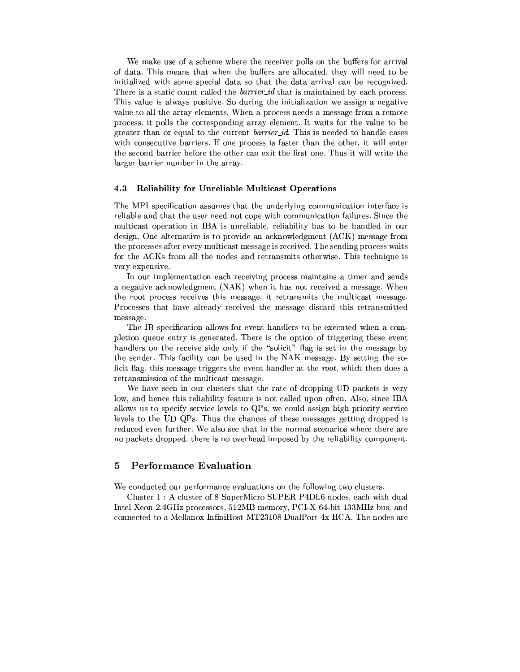We make use of a scheme where the receiver polls on the buffers for arrival of data. This means that when the buffers are allocated, they will need to be initialized with some special data so that the data arrival can be recognized. There is a static count called the *barrier\_id* that is maintained by each process. This value is always positive. So during the initialization we assign a negative value to all the array elements. When a process needs a message from a remote process, it polls the corresponding array element. It waits for the value to be greater than or equal to the current *barrier-id*. This is needed to handle cases with consecutive barriers. If one process is faster than the other, it will enter the second barrier before the other can exit the first one. Thus it will write the larger barrier number in the array.

#### 4.3 **Reliability for Unreliable Multicast Operations**

The MPI specification assumes that the underlying communication interface is reliable and that the user need not cope with communication failures. Since the multicast operation in IBA is unreliable, reliability has to be handled in our design. One alternative is to provide an acknowledgment (ACK) message from the processes after every multicast message is received. The sending process waits for the ACKs from all the nodes and retransmits otherwise. This technique is very expensive.

In our implementation each receiving process maintains a timer and sends a negative acknowledgment (NAK) when it has not received a message. When the root process receives this message, it retransmits the multicast message. Processes that have already received the message discard this retransmitted message.

The IB specification allows for event handlers to be executed when a completion queue entry is generated. There is the option of triggering these event handlers on the receive side only if the "solicit" flag is set in the message by the sender. This facility can be used in the NAK message. By setting the solicit flag, this message triggers the event handler at the root, which then does a retransmission of the multicast message.

We have seen in our clusters that the rate of dropping UD packets is very low, and hence this reliability feature is not called upon often. Also, since IBA allows us to specify service levels to QPs, we could assign high priority service levels to the UD QPs. Thus the chances of these messages getting dropped is reduced even further. We also see that in the normal scenarios where there are no packets dropped, there is no overhead imposed by the reliability component.

#### $\overline{5}$ **Performance Evaluation**

We conducted our performance evaluations on the following two clusters.

Cluster 1 : A cluster of 8 SuperMicro SUPER P4DL6 nodes, each with dual Intel Xeon 2.4GHz processors, 512MB memory, PCI-X 64-bit 133MHz bus, and connected to a Mellanox InfiniHost MT23108 DualPort 4x HCA. The nodes are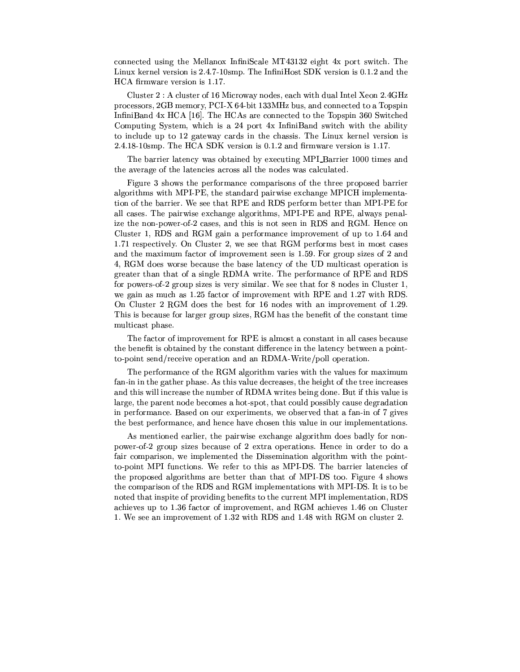connected using the Mellanox Infiniscale MT43132 eight 4x port switch. The Linux kernel version is 2.4.7-10smp. The InfiniHost SDK version is 0.1.2 and the HCA firmware version is 1.17.

Cluster 2 : A cluster of 16 Microway nodes, each with dual Intel Xeon 2.4GHz processors, 2GB memory, PCI-X 64-bit 133MHz bus, and connected to a Topspin InfiniBand 4x HCA [16]. The HCAs are connected to the Topspin 360 Switched Computing System, which is a 24 port 4x InfiniBand switch with the ability to include up to 12 gateway cards in the chassis. The Linux kernel version is  $2.4.18$ -10smp. The HCA SDK version is 0.1.2 and firmware version is 1.17.

The barrier latency was obtained by executing MPI\_Barrier 1000 times and the average of the latencies across all the nodes was calculated.

Figure 3 shows the performance comparisons of the three proposed barrier algorithms with MPI-PE, the standard pairwise exchange MPICH implementation of the barrier. We see that RPE and RDS perform better than MPI-PE for all cases. The pairwise exchange algorithms, MPI-PE and RPE, always penalize the non-power-of-2 cases, and this is not seen in RDS and RGM. Hence on Cluster 1, RDS and RGM gain a performance improvement of up to 1.64 and 1.71 respectively. On Cluster 2, we see that RGM performs best in most cases and the maximum factor of improvement seen is 1.59. For group sizes of 2 and 4, RGM does worse because the base latency of the UD multicast operation is greater than that of a single RDMA write. The performance of RPE and RDS for powers-of-2 group sizes is very similar. We see that for 8 nodes in Cluster 1, we gain as much as 1.25 factor of improvement with RPE and 1.27 with RDS. On Cluster 2 RGM does the best for 16 nodes with an improvement of 1.29. This is because for larger group sizes, RGM has the benefit of the constant time multicast phase.

The factor of improvement for RPE is almost a constant in all cases because the benefit is obtained by the constant difference in the latency between a pointto-point send/receive operation and an RDMA-Write/poll operation.

The performance of the RGM algorithm varies with the values for maximum fan-in in the gather phase. As this value decreases, the height of the tree increases and this will increase the number of RDMA writes being done. But if this value is large, the parent node becomes a hot-spot, that could possibly cause degradation in performance. Based on our experiments, we observed that a fan-in of 7 gives the best performance, and hence have chosen this value in our implementations.

As mentioned earlier, the pairwise exchange algorithm does badly for nonpower-of-2 group sizes because of 2 extra operations. Hence in order to do a fair comparison, we implemented the Dissemination algorithm with the pointto-point MPI functions. We refer to this as MPI-DS. The barrier latencies of the proposed algorithms are better than that of MPI-DS too. Figure 4 shows the comparison of the RDS and RGM implementations with MPI-DS. It is to be noted that inspite of providing benefits to the current MPI implementation, RDS achieves up to 1.36 factor of improvement, and RGM achieves 1.46 on Cluster 1. We see an improvement of 1.32 with RDS and 1.48 with RGM on cluster 2.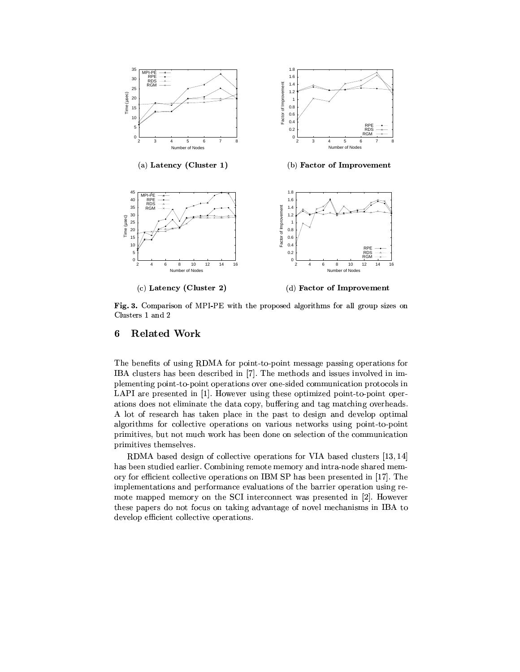

Fig. 3. Comparison of MPI-PE with the proposed algorithms for all group sizes on Clusters 1 and 2

#### 6 **Related Work**

The benefits of using RDMA for point-to-point message passing operations for IBA clusters has been described in [7]. The methods and issues involved in implementing point-to-point operations over one-sided communication protocols in LAPI are presented in  $[1]$ . However using these optimized point-to-point operations does not eliminate the data copy, buffering and tag matching overheads. A lot of research has taken place in the past to design and develop optimal algorithms for collective operations on various networks using point-to-point primitives, but not much work has been done on selection of the communication primitives themselves.

RDMA based design of collective operations for VIA based clusters [13, 14] has been studied earlier. Combining remote memory and intra-node shared memory for efficient collective operations on IBM SP has been presented in [17]. The implementations and performance evaluations of the barrier operation using remote mapped memory on the SCI interconnect was presented in [2]. However these papers do not focus on taking advantage of novel mechanisms in IBA to develop efficient collective operations.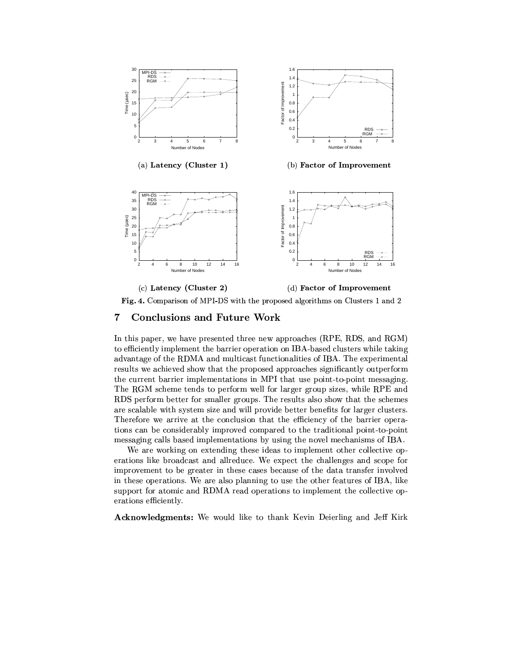

Fig. 4. Comparison of MPI-DS with the proposed algorithms on Clusters 1 and 2

#### $\overline{7}$ **Conclusions and Future Work**

In this paper, we have presented three new approaches (RPE, RDS, and RGM) to efficiently implement the barrier operation on IBA-based clusters while taking advantage of the RDMA and multicast functionalities of IBA. The experimental results we achieved show that the proposed approaches significantly outperform the current barrier implementations in MPI that use point-to-point messaging. The RGM scheme tends to perform well for larger group sizes, while RPE and RDS perform better for smaller groups. The results also show that the schemes are scalable with system size and will provide better benefits for larger clusters. Therefore we arrive at the conclusion that the efficiency of the barrier operations can be considerably improved compared to the traditional point-to-point messaging calls based implementations by using the novel mechanisms of IBA.

We are working on extending these ideas to implement other collective operations like broadcast and allreduce. We expect the challenges and scope for improvement to be greater in these cases because of the data transfer involved in these operations. We are also planning to use the other features of IBA, like support for atomic and RDMA read operations to implement the collective operations efficiently.

Acknowledgments: We would like to thank Kevin Deierling and Jeff Kirk